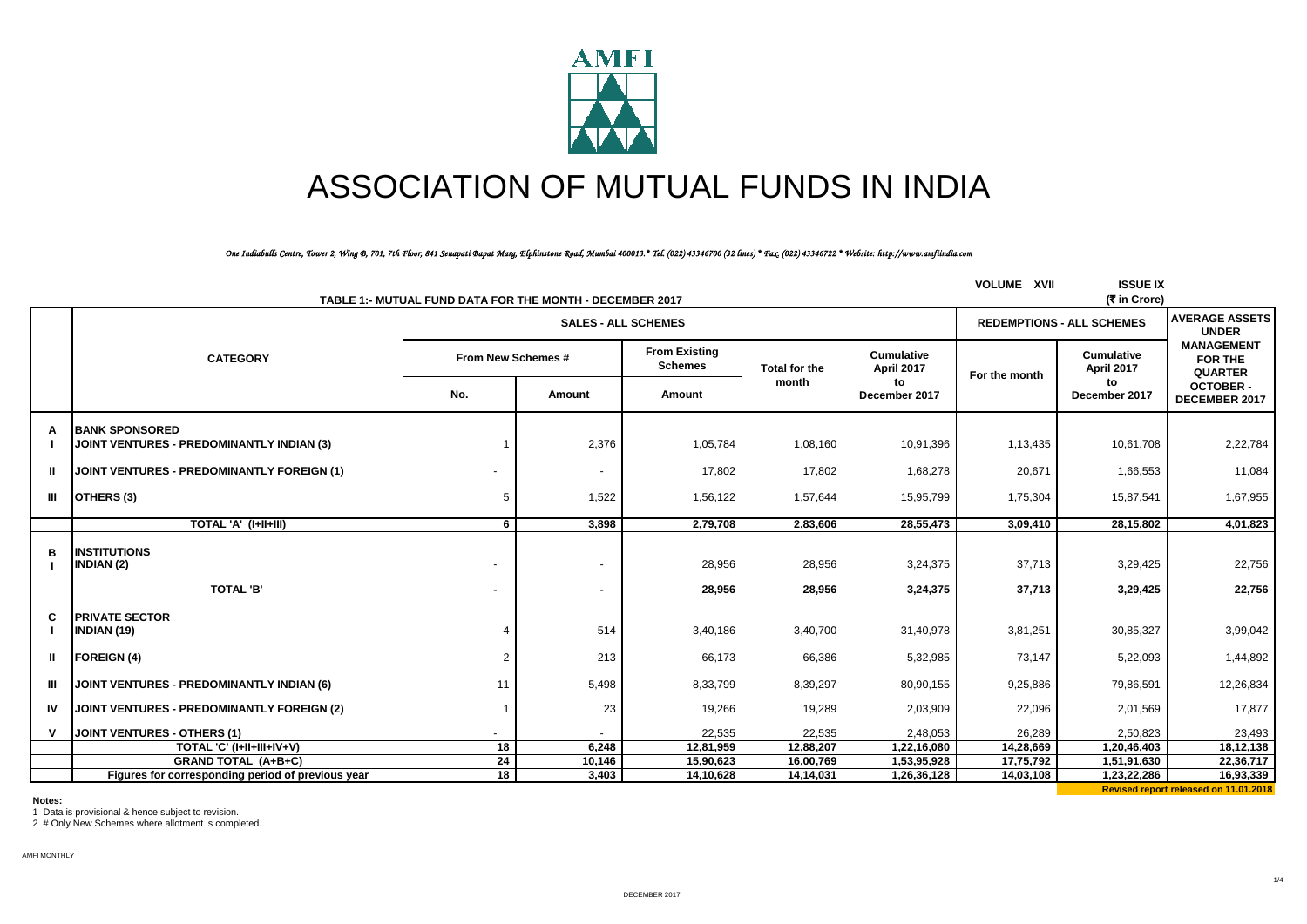

# ASSOCIATION OF MUTUAL FUNDS IN INDIA

*One Indiabulls Centre, Tower 2, Wing B, 701, 7th Floor, 841 Senapati Bapat Marg, Elphinstone Road, Mumbai 400013.\* Tel. (022) 43346700 (32 lines) \* Fax. (022) 43346722 \* Website: http://www.amfiindia.com*

| TABLE 1:- MUTUAL FUND DATA FOR THE MONTH - DECEMBER 2017 |                                                                    |                    |                            |                                        |               |                                 |               | <b>VOLUME XVII</b><br><b>ISSUE IX</b><br>(₹ in Crore) |                                                       |
|----------------------------------------------------------|--------------------------------------------------------------------|--------------------|----------------------------|----------------------------------------|---------------|---------------------------------|---------------|-------------------------------------------------------|-------------------------------------------------------|
|                                                          |                                                                    |                    | <b>SALES - ALL SCHEMES</b> |                                        |               |                                 |               | <b>REDEMPTIONS - ALL SCHEMES</b>                      |                                                       |
|                                                          | <b>CATEGORY</b>                                                    | From New Schemes # |                            | <b>From Existing</b><br><b>Schemes</b> | Total for the | <b>Cumulative</b><br>April 2017 | For the month | <b>Cumulative</b><br>April 2017                       | <b>MANAGEMENT</b><br><b>FOR THE</b><br><b>QUARTER</b> |
|                                                          |                                                                    | No.                | Amount                     | Amount                                 | month         | to<br>December 2017             |               | to<br>December 2017                                   | <b>OCTOBER -</b><br>DECEMBER 2017                     |
| A                                                        | <b>BANK SPONSORED</b><br>JOINT VENTURES - PREDOMINANTLY INDIAN (3) |                    | 2,376                      | 1,05,784                               | 1,08,160      | 10,91,396                       | 1,13,435      | 10,61,708                                             | 2,22,784                                              |
| ш                                                        | JOINT VENTURES - PREDOMINANTLY FOREIGN (1)                         |                    | $\blacksquare$             | 17,802                                 | 17,802        | 1,68,278                        | 20,671        | 1,66,553                                              | 11,084                                                |
| Ш                                                        | OTHERS (3)                                                         | -5                 | 1,522                      | 1,56,122                               | 1,57,644      | 15,95,799                       | 1,75,304      | 15,87,541                                             | 1,67,955                                              |
|                                                          | TOTAL 'A' (I+II+III)                                               | 6                  | 3,898                      | 2,79,708                               | 2,83,606      | 28,55,473                       | 3,09,410      | 28,15,802                                             | 4,01,823                                              |
| в                                                        | <b>INSTITUTIONS</b><br><b>INDIAN (2)</b>                           |                    | $\overline{\phantom{a}}$   | 28,956                                 | 28,956        | 3,24,375                        | 37,713        | 3,29,425                                              | 22,756                                                |
|                                                          | <b>TOTAL 'B'</b>                                                   | $\blacksquare$     | $\blacksquare$             | 28,956                                 | 28,956        | 3,24,375                        | 37,713        | 3,29,425                                              | 22,756                                                |
| C                                                        | <b>PRIVATE SECTOR</b><br><b>INDIAN (19)</b>                        |                    | 514                        | 3,40,186                               | 3,40,700      | 31,40,978                       | 3,81,251      | 30,85,327                                             | 3,99,042                                              |
| ш                                                        | <b>FOREIGN (4)</b>                                                 | $\overline{2}$     | 213                        | 66,173                                 | 66,386        | 5,32,985                        | 73,147        | 5,22,093                                              | 1,44,892                                              |
| ШL                                                       | JOINT VENTURES - PREDOMINANTLY INDIAN (6)                          | 11                 | 5,498                      | 8,33,799                               | 8,39,297      | 80,90,155                       | 9,25,886      | 79,86,591                                             | 12,26,834                                             |
| IV                                                       | JOINT VENTURES - PREDOMINANTLY FOREIGN (2)                         |                    | 23                         | 19,266                                 | 19,289        | 2,03,909                        | 22,096        | 2,01,569                                              | 17,877                                                |
|                                                          | <b>JOINT VENTURES - OTHERS (1)</b>                                 |                    |                            | 22,535                                 | 22,535        | 2,48,053                        | 26,289        | 2,50,823                                              | 23,493                                                |
|                                                          | TOTAL 'C' (I+II+III+IV+V)                                          | 18                 | 6,248                      | 12,81,959                              | 12,88,207     | 1,22,16,080                     | 14,28,669     | 1,20,46,403                                           | 18,12,138                                             |
|                                                          | <b>GRAND TOTAL (A+B+C)</b>                                         | 24                 | 10,146                     | 15,90,623                              | 16,00,769     | 1,53,95,928                     | 17,75,792     | 1,51,91,630                                           | 22,36,717                                             |
|                                                          | Figures for corresponding period of previous year                  | 18                 | 3,403                      | 14,10,628                              | 14,14,031     | 1,26,36,128                     | 14,03,108     | 1,23,22,286                                           | 16,93,339                                             |

**Notes:**

1 Data is provisional & hence subject to revision.

2 # Only New Schemes where allotment is completed.

AMFI MONTHLY

**Revised report released on 11.01.2018**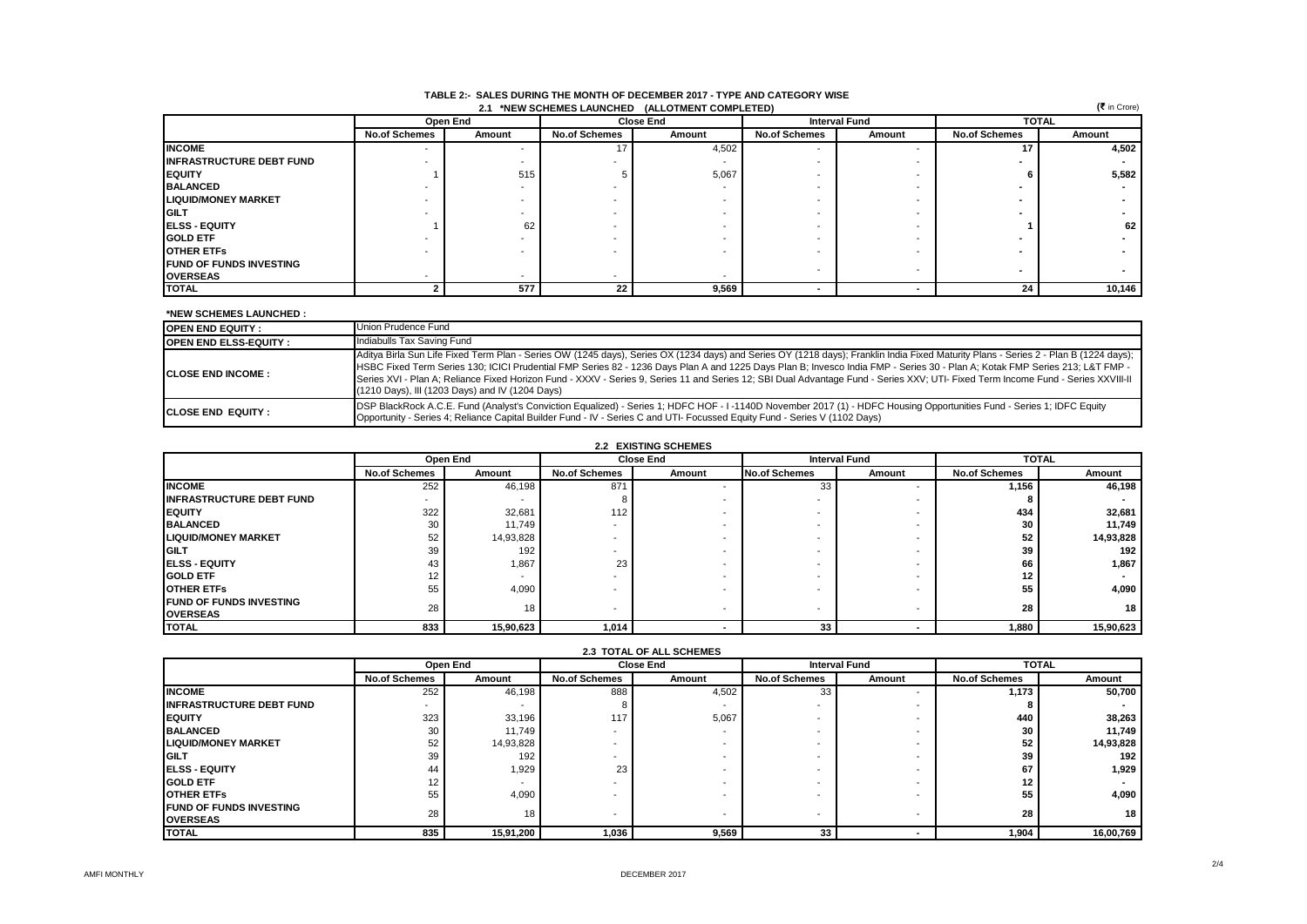|                                 | (₹ in Crore)<br>(ALLOTMENT COMPLETED)<br>2.1 *NEW SCHEMES LAUNCHED |          |                          |                  |                          |                          |                      |        |  |
|---------------------------------|--------------------------------------------------------------------|----------|--------------------------|------------------|--------------------------|--------------------------|----------------------|--------|--|
|                                 |                                                                    | Open End |                          | <b>Close End</b> | <b>Interval Fund</b>     |                          | <b>TOTAL</b>         |        |  |
|                                 | <b>No.of Schemes</b>                                               | Amount   | <b>No.of Schemes</b>     | Amount           | <b>No.of Schemes</b>     | Amount                   | <b>No.of Schemes</b> | Amount |  |
| <b>INCOME</b>                   | $\overline{\phantom{a}}$                                           |          |                          | 4,502            |                          |                          | 17                   | 4,502  |  |
| <b>INFRASTRUCTURE DEBT FUND</b> |                                                                    |          |                          |                  |                          |                          |                      |        |  |
| <b>IEQUITY</b>                  |                                                                    | 515      |                          | 5,067            |                          |                          |                      | 5,582  |  |
| <b>BALANCED</b>                 |                                                                    |          | $\overline{\phantom{a}}$ |                  |                          |                          |                      |        |  |
| <b>LIQUID/MONEY MARKET</b>      |                                                                    |          | $\overline{\phantom{a}}$ |                  |                          |                          |                      |        |  |
| <b>IGILT</b>                    |                                                                    |          |                          |                  |                          |                          |                      |        |  |
| <b>IELSS - EQUITY</b>           |                                                                    | 62       |                          |                  |                          |                          |                      | 62     |  |
| <b>GOLD ETF</b>                 |                                                                    |          | $\overline{\phantom{a}}$ |                  | $\overline{\phantom{a}}$ |                          |                      |        |  |
| <b>OTHER ETFS</b>               |                                                                    |          |                          |                  |                          |                          |                      |        |  |
| <b>IFUND OF FUNDS INVESTING</b> |                                                                    |          |                          |                  | . .                      | $\overline{\phantom{a}}$ |                      |        |  |
| <b>OVERSEAS</b>                 |                                                                    |          | $\overline{\phantom{0}}$ |                  |                          |                          |                      |        |  |
| <b>TOTAL</b>                    |                                                                    | 577      | 22                       | 9,569            |                          |                          | 24                   | 10,146 |  |

### **TABLE 2:- SALES DURING THE MONTH OF DECEMBER 2017 - TYPE AND CATEGORY WISE 2.1 \*NEW SCHEMES LAUNCHED (ALLOTMENT COMPLETED)**

### **\*NEW SCHEMES LAUNCHED :**

| <b>OPEN END EQUITY:</b>      | Union Prudence Fund                                                                                                                                                                                                                                                                                                                                                                                                                                                                                                                                                                                         |
|------------------------------|-------------------------------------------------------------------------------------------------------------------------------------------------------------------------------------------------------------------------------------------------------------------------------------------------------------------------------------------------------------------------------------------------------------------------------------------------------------------------------------------------------------------------------------------------------------------------------------------------------------|
| <b>OPEN END ELSS-EQUITY:</b> | Indiabulls Tax Saving Fund                                                                                                                                                                                                                                                                                                                                                                                                                                                                                                                                                                                  |
| <b>ICLOSE END INCOME:</b>    | Aditya Birla Sun Life Fixed Term Plan - Series OW (1245 days), Series OX (1234 days) and Series OY (1218 days); Franklin India Fixed Maturity Plans - Series 2 - Plan B (1224 days);<br>HSBC Fixed Term Series 130; ICICI Prudential FMP Series 82 - 1236 Days Plan A and 1225 Days Plan B; Invesco India FMP - Series 30 - Plan A; Kotak FMP Series 213; L&T FMP -<br>Series XVI - Plan A; Reliance Fixed Horizon Fund - XXXV - Series 9, Series 11 and Series 12; SBI Dual Advantage Fund - Series XXV; UTI- Fixed Term Income Fund - Series XXVIII-II<br>(1210 Days), III (1203 Days) and IV (1204 Days) |
| <b>ICLOSE END EQUITY:</b>    | DSP BlackRock A.C.E. Fund (Analyst's Conviction Equalized) - Series 1; HDFC HOF - I-1140D November 2017 (1) - HDFC Housing Opportunities Fund - Series 1; IDFC Equity<br>Opportunity - Series 4; Reliance Capital Builder Fund - IV - Series C and UTI- Focussed Equity Fund - Series V (1102 Days)                                                                                                                                                                                                                                                                                                         |

|                                 |                      | Open End  |                          | <b>Close End</b> |                          | <b>Interval Fund</b>     | <b>TOTAL</b>         |           |
|---------------------------------|----------------------|-----------|--------------------------|------------------|--------------------------|--------------------------|----------------------|-----------|
|                                 | <b>No.of Schemes</b> | Amount    | <b>No.of Schemes</b>     | Amount           | <b>No.of Schemes</b>     | Amount                   | <b>No.of Schemes</b> | Amount    |
| <b>INCOME</b>                   | 252                  | 46,198    | 871                      |                  | 33                       |                          | 1,156                | 46,198    |
| <b>INFRASTRUCTURE DEBT FUND</b> | ۰.                   |           |                          |                  | . .                      | $\overline{\phantom{a}}$ |                      |           |
| <b>IEQUITY</b>                  | 322                  | 32,681    | 112                      |                  |                          |                          | 434                  | 32,681    |
| <b>BALANCED</b>                 | 30                   | 11,749    | $\overline{\phantom{a}}$ |                  |                          |                          | 30                   | 11,749    |
| <b>LIQUID/MONEY MARKET</b>      | 52                   | 14,93,828 |                          |                  |                          |                          | 52                   | 14,93,828 |
| <b>IGILT</b>                    | 39                   | 192       |                          |                  |                          |                          | 39                   | 192       |
| <b>IELSS - EQUITY</b>           | 43                   | 1,867     | 23                       |                  | . .                      |                          | 66                   | 1,867     |
| <b>GOLD ETF</b>                 | $12 \overline{ }$    | -         | $\overline{\phantom{a}}$ |                  |                          |                          | 12 <sub>1</sub>      |           |
| <b>OTHER ETFS</b>               | 55                   | 4,090     | $\overline{\phantom{a}}$ |                  | . .                      |                          | 55                   | 4,090     |
| <b>IFUND OF FUNDS INVESTING</b> | 28                   | 18        | $\overline{\phantom{0}}$ |                  | $\overline{\phantom{a}}$ |                          | 28                   | 18        |
| <b>OVERSEAS</b>                 |                      |           |                          |                  |                          |                          |                      |           |
| <b>ITOTAL</b>                   | 833                  | 15,90,623 | 1,014                    |                  | 33                       |                          | 1,880                | 15,90,623 |

|                                 | <b>2.3 TOTAL OF ALL SCHEMES</b> |                          |                          |        |                          |                          |                      |              |  |
|---------------------------------|---------------------------------|--------------------------|--------------------------|--------|--------------------------|--------------------------|----------------------|--------------|--|
|                                 |                                 | Open End                 | <b>Close End</b>         |        |                          | <b>Interval Fund</b>     |                      | <b>TOTAL</b> |  |
|                                 | <b>No.of Schemes</b>            | Amount                   | <b>No.of Schemes</b>     | Amount | <b>No.of Schemes</b>     | Amount                   | <b>No.of Schemes</b> | Amount       |  |
| <b>INCOME</b>                   | 252                             | 46,198                   | 888                      | 4,502  | 33                       |                          | 1.173                | 50,700       |  |
| <b>INFRASTRUCTURE DEBT FUND</b> | $\overline{\phantom{0}}$        | $\overline{\phantom{a}}$ |                          |        | -                        |                          |                      |              |  |
| <b>IEQUITY</b>                  | 323                             | 33,196                   | 117                      | 5,067  |                          | $\overline{\phantom{a}}$ | 440                  | 38,263       |  |
| <b>BALANCED</b>                 | 30                              | 11,749                   | -                        |        | -                        | $\overline{\phantom{a}}$ | 30                   | 11,749       |  |
| <b>LIQUID/MONEY MARKET</b>      | 52                              | 14,93,828                | -                        | ۰.     | -                        | $\overline{\phantom{a}}$ | 52                   | 14,93,828    |  |
| <b>IGILT</b>                    | 39                              | 192                      | $\overline{\phantom{a}}$ |        | -                        | $\overline{\phantom{a}}$ | 39                   | 192          |  |
| <b>IELSS - EQUITY</b>           | 44                              | 1,929                    | 23                       |        | -                        | $\overline{\phantom{a}}$ | 67                   | 1,929        |  |
| <b>GOLD ETF</b>                 | 12                              | $\overline{\phantom{a}}$ | ۰                        |        |                          |                          | 12                   |              |  |
| <b>OTHER ETFS</b>               | 55                              | 4,090                    | ۰                        |        |                          | $\overline{\phantom{a}}$ | 55                   | 4,090        |  |
| <b>IFUND OF FUNDS INVESTING</b> | 28                              | 18                       | $\overline{\phantom{a}}$ |        | $\overline{\phantom{a}}$ | $\overline{\phantom{a}}$ | 28                   | 18           |  |
| <b>OVERSEAS</b>                 |                                 |                          |                          |        |                          |                          |                      |              |  |
| <b>TOTAL</b>                    | 835                             | 15,91,200                | 1,036                    | 9,569  | 33                       |                          | 1,904                | 16,00,769    |  |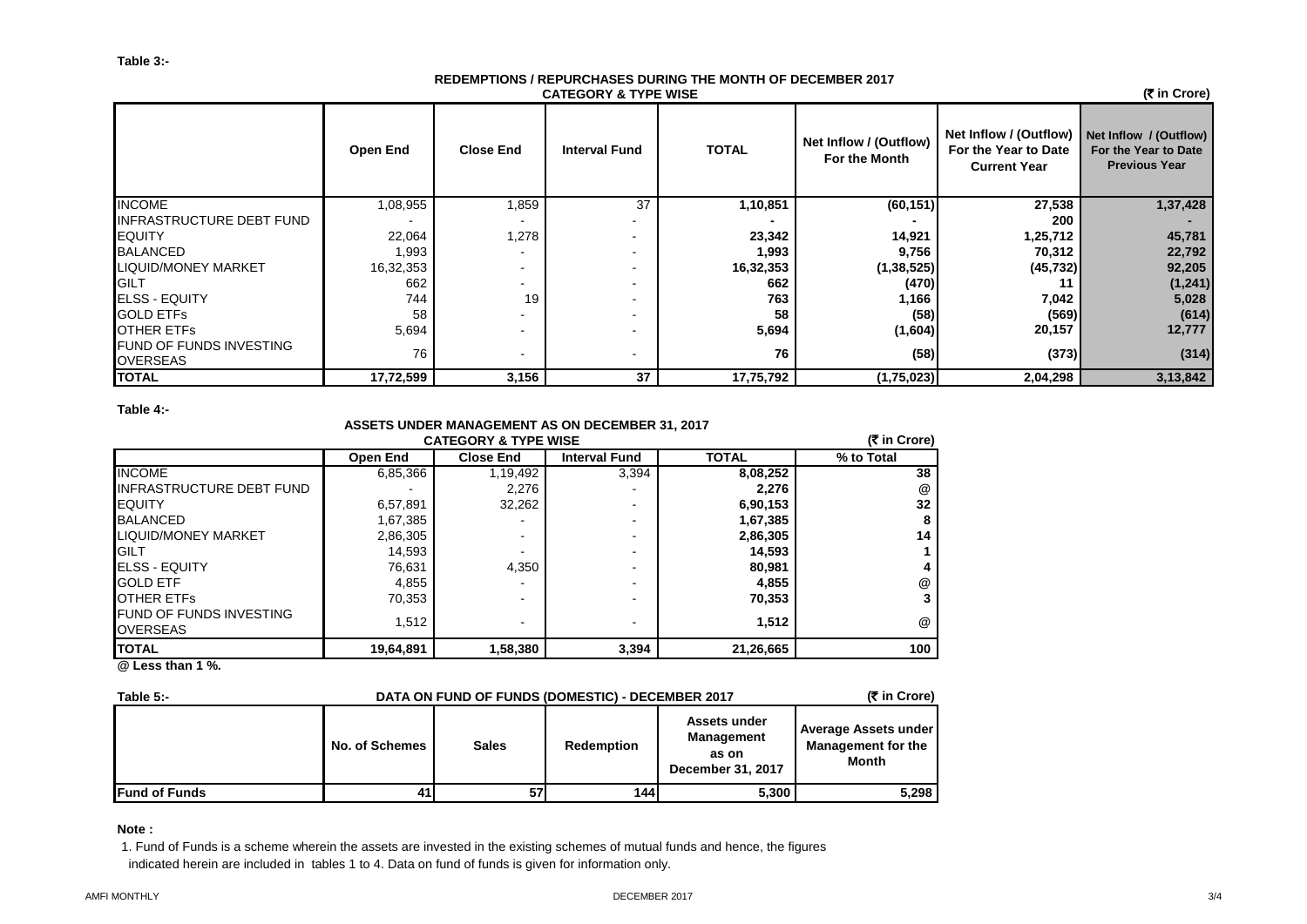## **CATEGORY & TYPE WISE REDEMPTIONS / REPURCHASES DURING THE MONTH OF DECEMBER 2017**

 **(**` **in Crore)**

|                                                    | Open End  | <b>Close End</b> | <b>Interval Fund</b>     | <b>TOTAL</b> | Net Inflow / (Outflow)<br>For the Month | Net Inflow / (Outflow)<br>For the Year to Date<br><b>Current Year</b> | Net Inflow / (Outflow)<br>For the Year to Date<br><b>Previous Year</b> |
|----------------------------------------------------|-----------|------------------|--------------------------|--------------|-----------------------------------------|-----------------------------------------------------------------------|------------------------------------------------------------------------|
| <b>INCOME</b>                                      | 1,08,955  | 1,859            | 37                       | 1,10,851     | (60, 151)                               | 27,538                                                                | 1,37,428                                                               |
| <b>INFRASTRUCTURE DEBT FUND</b>                    |           |                  |                          |              |                                         | 200                                                                   |                                                                        |
| <b>IEQUITY</b>                                     | 22,064    | 1,278            |                          | 23,342       | 14,921                                  | 1,25,712                                                              | 45,781                                                                 |
| <b>BALANCED</b>                                    | 0.993     |                  |                          | 1,993        | 9,756                                   | 70,312                                                                | 22,792                                                                 |
| <b>LIQUID/MONEY MARKET</b>                         | 16,32,353 | ۰.               |                          | 16,32,353    | (1, 38, 525)                            | (45, 732)                                                             | 92,205                                                                 |
| <b>IGILT</b>                                       | 662       | ۰.               |                          | 662          | (470)                                   |                                                                       | (1, 241)                                                               |
| <b>ELSS - EQUITY</b>                               | 744       | 19               |                          | 763          | 1,166                                   | 7,042                                                                 | 5,028                                                                  |
| <b>GOLD ETFS</b>                                   | 58        |                  |                          | 58           | (58)                                    | (569)                                                                 | (614)                                                                  |
| <b>OTHER ETFS</b>                                  | 5,694     |                  |                          | 5,694        | (1,604)                                 | 20,157                                                                | 12,777                                                                 |
| <b>IFUND OF FUNDS INVESTING</b><br><b>OVERSEAS</b> | 76        |                  | $\overline{\phantom{0}}$ | 76           | (58)                                    | (373)                                                                 | (314)                                                                  |
| <b>TOTAL</b>                                       | 17,72,599 | 3,156            | 37                       | 17,75,792    | (1,75,023)                              | 2,04,298                                                              | 3,13,842                                                               |

**Table 4:-**

# **ASSETS UNDER MANAGEMENT AS ON DECEMBER 31, 2017**

|                                                   | (₹ in Crore) |                          |                      |              |            |
|---------------------------------------------------|--------------|--------------------------|----------------------|--------------|------------|
|                                                   | Open End     | <b>Close End</b>         | <b>Interval Fund</b> | <b>TOTAL</b> | % to Total |
| <b>INCOME</b>                                     | 6,85,366     | 1,19,492                 | 3,394                | 8,08,252     | 38         |
| IINFRASTRUCTURE DEBT FUND                         |              | 2,276                    |                      | 2.276        | @          |
| <b>IEQUITY</b>                                    | 6,57,891     | 32,262                   |                      | 6,90,153     | 32         |
| <b>BALANCED</b>                                   | 1,67,385     |                          |                      | 1,67,385     | 8          |
| LIQUID/MONEY MARKET                               | 2,86,305     | $\blacksquare$           |                      | 2,86,305     | 14         |
| <b>GILT</b>                                       | 14,593       |                          |                      | 14,593       |            |
| <b>IELSS - EQUITY</b>                             | 76,631       | 4,350                    |                      | 80,981       |            |
| <b>GOLD ETF</b>                                   | 4,855        |                          |                      | 4,855        | @          |
| <b>OTHER ETFS</b>                                 | 70,353       | $\overline{\phantom{0}}$ |                      | 70,353       | 3          |
| <b>FUND OF FUNDS INVESTING</b><br><b>OVERSEAS</b> | 1,512        | $\overline{\phantom{0}}$ | -                    | 1,512        | @          |
| <b>TOTAL</b>                                      | 19,64,891    | 1,58,380                 | 3,394                | 21,26,665    | 100        |

**@ Less than 1 %.**

| Table $5 -$           | DATA ON FUND OF FUNDS (DOMESTIC) - DECEMBER 2017 | (₹ in Crore) |                   |                                                          |                                                                   |
|-----------------------|--------------------------------------------------|--------------|-------------------|----------------------------------------------------------|-------------------------------------------------------------------|
|                       | No. of Schemes                                   | <b>Sales</b> | <b>Redemption</b> | Assets under<br>Management<br>as on<br>December 31, 2017 | Average Assets under<br><b>Management for the</b><br><b>Month</b> |
| <b>IFund of Funds</b> | 41                                               | 57           | 144               | 5,300                                                    | 5,298                                                             |

**Note :**

1. Fund of Funds is a scheme wherein the assets are invested in the existing schemes of mutual funds and hence, the figures indicated herein are included in tables 1 to 4. Data on fund of funds is given for information only.